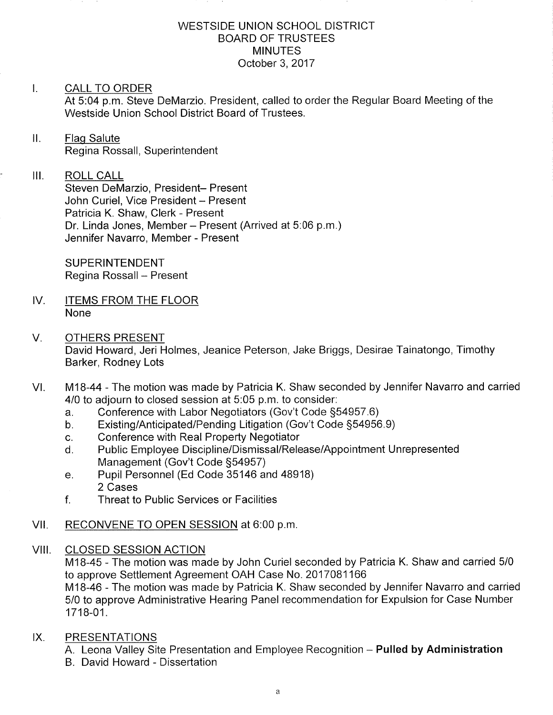### WESTSIDE UNION SCHOOL DISTRICT BOARD OF TRUSTEES MINUTES October 3,2017

### I. CALL TO ORDER

At 5:04 p.m. Steve DeMarzio. President, called to order the Regular Board Meeting of the Westside Union School District Board of Trustees.

# II. Flag Salute Regina Rossall, Superintendent

#### ilt ROLL CALL

Steven DeMarzio, President- Present John Curiel, Vice President - Present Patricia K. Shaw, Clerk - Present Dr. Linda Jones, Member - Present (Arrived at 5:06 p.m.) Jennifer Navarro, Member - Present

SUPERINTENDENT Regina Rossall - Present

- IV. ITEMS FROM THE FLOOR None
- V. OTHERS PRESENT David Howard, Jeri Holmes, Jeanice Peterson, Jake Briggs, Desirae Tainatongo, Timothy Barker, Rodney Lots
- M18-44 The motion was made by Patricia K. Shaw seconded by Jennifer Navarro and carried 4/0 to adjourn to closed session at 5:05 p.m. to consider: VI
	-
	- a. Conference with Labor Negotiators (Gov't Code §54957.6)<br>b. Existing/Anticipated/Pending Litigation (Gov't Code §54956.9)<br>c. Conference with Real Property Negotiator
	-
	- c. Conference with Real Property Negotiator<br>d. Public Employee Discipline/Dismissal/Release/Appointment Unrepresented<br>Management (Gov't Code §54957)
	- e. Pupil Personnel (Ed Code 35146 and 48918) 2 Cases
	- f. Threat to Public Services or Facilities

# VII. RECONVENE TO OPEN SESSION at 6:00 p.m.

### VIII. CLOSED SESSION ACTION

M1B-45 - The motion was made by John Curiel seconded by Patricia K. Shaw and carried 5/0 to approve Settlement Agreement OAH Case No. 2017081 <sup>166</sup> M18-46 - The motion was made by Patricia K. Shaw seconded by Jennifer Navarro and carried 5/0 to approve Administrative Hearing Panel recommendation for Expulsion for Case Number

1718-01 .

- IX. PRESENTATIONS
	- A. Leona Valley Site Presentation and Employee Recognition **Pulled by Administratior**
	- B David Howard Dissertation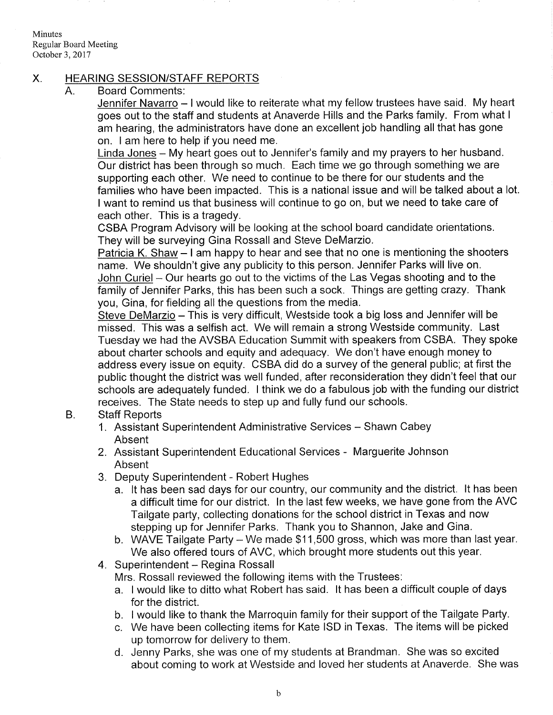Minutes Regular Board Meeting October 3,2017

### X. HEARING SESSION/STAFF REPORTS

Board Comments: A

Jennifer Navarro - I would like to reiterate what my fellow trustees have said. My heart goes out to the staff and students at Anaverde Hills and the Parks family. From what <sup>I</sup> am hearing, the administrators have done an excellent job handling all that has gone on. I am here to help if you need me.

L<u>inda Jones</u> – My heart goes out to Jennifer's family and my prayers to her husband Our district has been through so much. Each time we go through something we are supporting each other. We need to continue to be there for our students and the families who have been impacted. This is a national issue and will be talked about a lot. <sup>I</sup>want to remind us that business will continue to go on, but we need to take care of each other. This is a tragedy.

CSBA Program Advisory will be looking at the school board candidate orientations. They will be surveying Gina Rossall and Steve DeMarzio.

Patricia K. Shaw  $-1$  am happy to hear and see that no one is mentioning the shooters name. We shouldn't give any publicity to this person. Jennifer Parks will live on John Curiel - Our hearts go out to the victims of the Las Vegas shooting and to the family of Jennifer Parks, this has been such a sock. Things are getting crazy. Thank you, Gina, for fielding all the questions from the media.

Steve DeMarzio - This is very difficult, Westside took a big loss and Jennifer will be missed. This was a selfish act. We will remain a strong Westside community. Last Tuesday we had the AVSBA Education Summit with speakers from CSBA. They spoke about charter schools and equity and adequacy. We don't have enough money to address every issue on equity. CSBA did do a survey of the general public; at first the public thought the district was well funded, after reconsideration they didn't feel that our schools are adequately funded. I think we do a fabulous job with the funding our district receives. The State needs to step up and fully fund our schools.

#### Staff Reports B

- 1. Assistant Superintendent Administrative Services Shawn Cabey Absent
- 2. Assistant Superintendent Educational Services Marguerite Johnson Absent
- 3. Deputy Superintendent Robert Hughes
	- a. lt has been sad days for our country, our community and the district. lt has been a difficult time for our district. ln the last few weeks, we have gone from the AVC Tailgate party, collecting donations for the school district in Texas and now stepping up for Jennifer Parks. Thank you to Shannon, Jake and Gina.
	- b. WAVE Tailgate Party We made  $$11,500$  gross, which was more than last year. We also offered tours of AVC, which brought more students out this year.
- 4. Superintendent Regina Rossall
	- Mrs. Rossall reviewed the following items with the Trustees:
	- a. I would like to ditto what Robert has said. lt has been a difficult couple of days for the district.
	- b. I would like to thank the Marroquin family for their support of the Tailgate Party.
	- c. We have been collecting items for Kate ISD in Texas. The items will be picked up tomorrow for delivery to them. d. Jenny Parks, she was one of my students at Brandman. She was so excited
	- about coming to work at Westside and loved her students at Anaverde. She was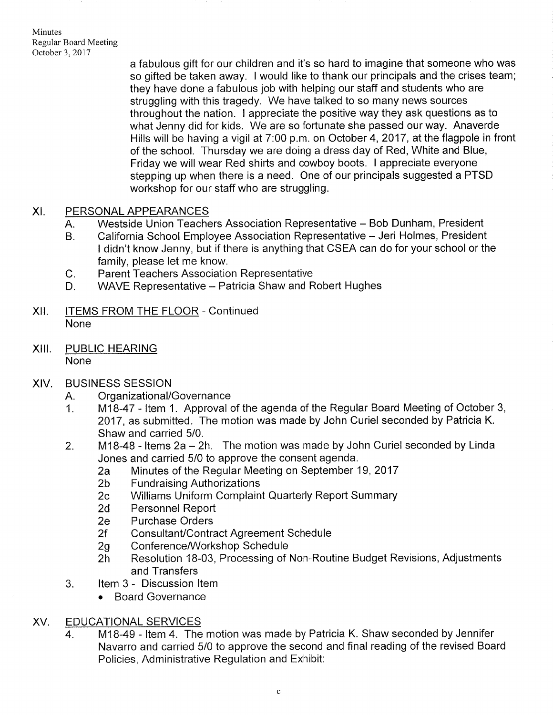**Minutes** Regular Board Meeting October 3,2017

> a fabulous gift for our children and it's so hard to imagine that someone who was so gifted be taken away. <sup>I</sup>would like to thank our principals and the crises team; they have done a fabulous job with helping our staff and students who are struggling with this tragedy. We have talked to so many news sources throughout the nation. I appreciate the positive way they ask questions as to what Jenny did for kids. We are so fortunate she passed our way. Anaverde Hills will be having a vigil at 7:00 p.m. on October 4,2017, at the flagpole in front of the school. Thursday we are doing a dress day of Red, White and Blue, Friday we will wear Red shirts and cowboy boots. I appreciate everyone stepping up when there is a need. One of our principals suggested a PTSD workshop for our staff who are struggling.

## XI. PERSONAL APPEARANCES

- A. Westside Union Teachers Association Representative Bob Dunham, President
- California School Employee Association Representative Jeri Holmes, President I didn't know Jenny, but if there is anything that CSEA can do for your school or the family, please let me know. B
- Parent Teachers Association Representative  $C<sub>r</sub>$
- WAVE Representative Patricia Shaw and Robert Hughes  $D_{\cdot}$
- Xll. ITEMS FROM THE FLOOR Continued None
- XIII. PUBLIC HEARING None
- XIV. BUSINESS SESSION
	-
	- A. Organizational/Governance<br>1. M18-47 Item 1. Approval of the agenda of the Regular Board Meeting of October 3, 2017, as submitted. The motion was made by John Curiel seconded by Patricia K. Shaw and carried 5/0.
	- 2. M18-48 Items  $2a 2h$ . The motion was made by John Curiel seconded by Linda<br>Jones and carried 5/0 to approve the consent agenda.
		-
		-
		- 2a Minutes of the Regular Meeting on September 19, 2017<br>
		2b Fundraising Authorizations<br>
		2c Williams Uniform Complaint Quarterly Report Summary<br>
		2d Personnel Report<br>
		2e Purchase Orders
		-
		-
		-
		-
		- 2f Consultant/Contract Agreement Schedule<br>2g Conference/Workshop Schedule<br>2h Resolution 18-03, Processing of Non-Routine Budget Revisions, Adjustments and Transfers
	- 3. ltem 3 Discussion ltem
		- Board Governance

# XV. EDUCATIONAL SERVICES

M1B-49 - ltem 4. The motion was made by Patricia K. Shaw seconded by Jennifer Navarro and carried 5/0 to approve the second and final reading of the revised Board Policies, Administrative Regulation and Exhibit: 4